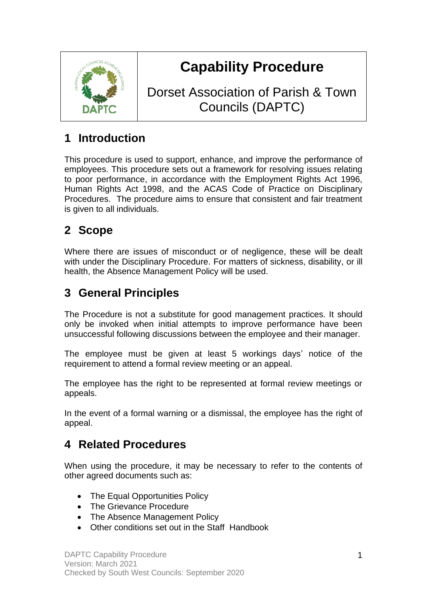

# **Capability Procedure**

Dorset Association of Parish & Town Councils (DAPTC)

# **1 Introduction**

This procedure is used to support, enhance, and improve the performance of employees. This procedure sets out a framework for resolving issues relating to poor performance, in accordance with the Employment Rights Act 1996, Human Rights Act 1998, and the ACAS Code of Practice on Disciplinary Procedures. The procedure aims to ensure that consistent and fair treatment is given to all individuals.

# **2 Scope**

Where there are issues of misconduct or of negligence, these will be dealt with under the Disciplinary Procedure. For matters of sickness, disability, or ill health, the Absence Management Policy will be used.

## **3 General Principles**

The Procedure is not a substitute for good management practices. It should only be invoked when initial attempts to improve performance have been unsuccessful following discussions between the employee and their manager.

The employee must be given at least 5 workings days' notice of the requirement to attend a formal review meeting or an appeal.

The employee has the right to be represented at formal review meetings or appeals.

In the event of a formal warning or a dismissal, the employee has the right of appeal.

### **4 Related Procedures**

When using the procedure, it may be necessary to refer to the contents of other agreed documents such as:

- The Equal Opportunities Policy
- The Grievance Procedure
- The Absence Management Policy
- Other conditions set out in the Staff Handbook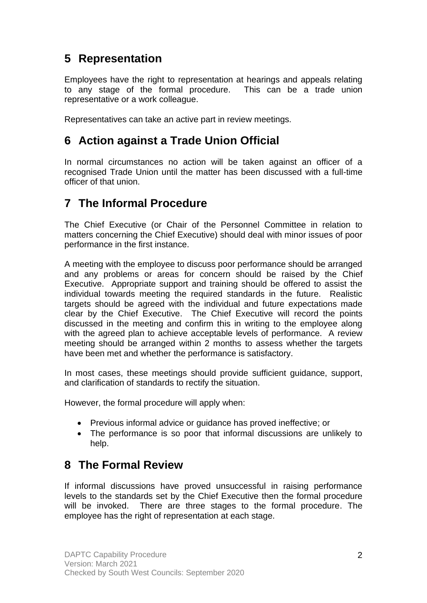### **5 Representation**

Employees have the right to representation at hearings and appeals relating to any stage of the formal procedure. This can be a trade union representative or a work colleague.

Representatives can take an active part in review meetings.

### **6 Action against a Trade Union Official**

In normal circumstances no action will be taken against an officer of a recognised Trade Union until the matter has been discussed with a full-time officer of that union.

### **7 The Informal Procedure**

The Chief Executive (or Chair of the Personnel Committee in relation to matters concerning the Chief Executive) should deal with minor issues of poor performance in the first instance.

A meeting with the employee to discuss poor performance should be arranged and any problems or areas for concern should be raised by the Chief Executive. Appropriate support and training should be offered to assist the individual towards meeting the required standards in the future. Realistic targets should be agreed with the individual and future expectations made clear by the Chief Executive. The Chief Executive will record the points discussed in the meeting and confirm this in writing to the employee along with the agreed plan to achieve acceptable levels of performance. A review meeting should be arranged within 2 months to assess whether the targets have been met and whether the performance is satisfactory.

In most cases, these meetings should provide sufficient guidance, support, and clarification of standards to rectify the situation.

However, the formal procedure will apply when:

- Previous informal advice or guidance has proved ineffective; or
- The performance is so poor that informal discussions are unlikely to help.

### **8 The Formal Review**

If informal discussions have proved unsuccessful in raising performance levels to the standards set by the Chief Executive then the formal procedure will be invoked. There are three stages to the formal procedure. The employee has the right of representation at each stage.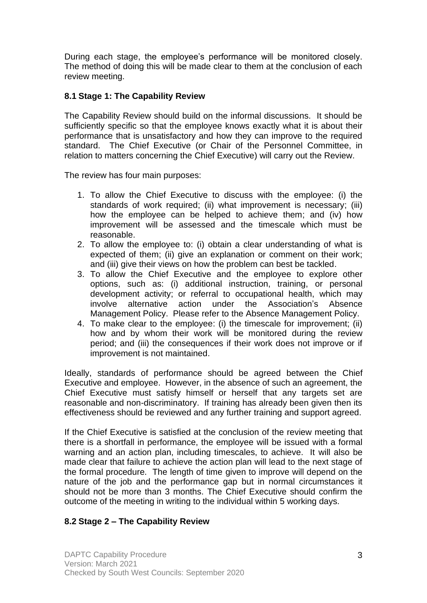During each stage, the employee's performance will be monitored closely. The method of doing this will be made clear to them at the conclusion of each review meeting.

#### **8.1 Stage 1: The Capability Review**

The Capability Review should build on the informal discussions. It should be sufficiently specific so that the employee knows exactly what it is about their performance that is unsatisfactory and how they can improve to the required standard. The Chief Executive (or Chair of the Personnel Committee, in relation to matters concerning the Chief Executive) will carry out the Review.

The review has four main purposes:

- 1. To allow the Chief Executive to discuss with the employee: (i) the standards of work required; (ii) what improvement is necessary; (iii) how the employee can be helped to achieve them; and (iv) how improvement will be assessed and the timescale which must be reasonable.
- 2. To allow the employee to: (i) obtain a clear understanding of what is expected of them; (ii) give an explanation or comment on their work; and (iii) give their views on how the problem can best be tackled.
- 3. To allow the Chief Executive and the employee to explore other options, such as: (i) additional instruction, training, or personal development activity; or referral to occupational health, which may involve alternative action under the Association's Absence Management Policy. Please refer to the Absence Management Policy.
- 4. To make clear to the employee: (i) the timescale for improvement; (ii) how and by whom their work will be monitored during the review period; and (iii) the consequences if their work does not improve or if improvement is not maintained.

Ideally, standards of performance should be agreed between the Chief Executive and employee. However, in the absence of such an agreement, the Chief Executive must satisfy himself or herself that any targets set are reasonable and non-discriminatory. If training has already been given then its effectiveness should be reviewed and any further training and support agreed.

If the Chief Executive is satisfied at the conclusion of the review meeting that there is a shortfall in performance, the employee will be issued with a formal warning and an action plan, including timescales, to achieve. It will also be made clear that failure to achieve the action plan will lead to the next stage of the formal procedure. The length of time given to improve will depend on the nature of the job and the performance gap but in normal circumstances it should not be more than 3 months. The Chief Executive should confirm the outcome of the meeting in writing to the individual within 5 working days.

### **8.2 Stage 2 – The Capability Review**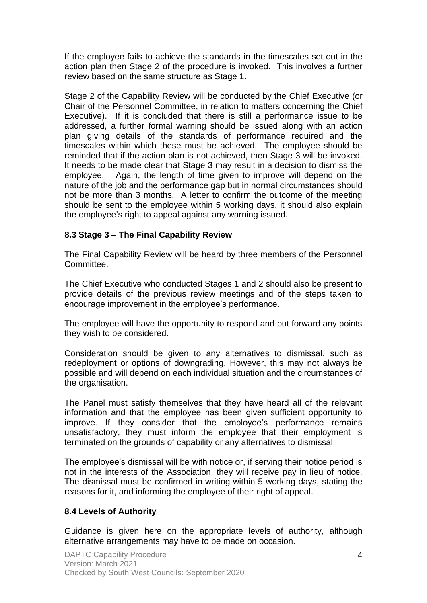If the employee fails to achieve the standards in the timescales set out in the action plan then Stage 2 of the procedure is invoked. This involves a further review based on the same structure as Stage 1.

Stage 2 of the Capability Review will be conducted by the Chief Executive (or Chair of the Personnel Committee, in relation to matters concerning the Chief Executive). If it is concluded that there is still a performance issue to be addressed, a further formal warning should be issued along with an action plan giving details of the standards of performance required and the timescales within which these must be achieved. The employee should be reminded that if the action plan is not achieved, then Stage 3 will be invoked. It needs to be made clear that Stage 3 may result in a decision to dismiss the employee. Again, the length of time given to improve will depend on the nature of the job and the performance gap but in normal circumstances should not be more than 3 months. A letter to confirm the outcome of the meeting should be sent to the employee within 5 working days, it should also explain the employee's right to appeal against any warning issued.

#### **8.3 Stage 3 – The Final Capability Review**

The Final Capability Review will be heard by three members of the Personnel Committee.

The Chief Executive who conducted Stages 1 and 2 should also be present to provide details of the previous review meetings and of the steps taken to encourage improvement in the employee's performance.

The employee will have the opportunity to respond and put forward any points they wish to be considered.

Consideration should be given to any alternatives to dismissal, such as redeployment or options of downgrading. However, this may not always be possible and will depend on each individual situation and the circumstances of the organisation.

The Panel must satisfy themselves that they have heard all of the relevant information and that the employee has been given sufficient opportunity to improve. If they consider that the employee's performance remains unsatisfactory, they must inform the employee that their employment is terminated on the grounds of capability or any alternatives to dismissal.

The employee's dismissal will be with notice or, if serving their notice period is not in the interests of the Association, they will receive pay in lieu of notice. The dismissal must be confirmed in writing within 5 working days, stating the reasons for it, and informing the employee of their right of appeal.

#### **8.4 Levels of Authority**

Guidance is given here on the appropriate levels of authority, although alternative arrangements may have to be made on occasion.